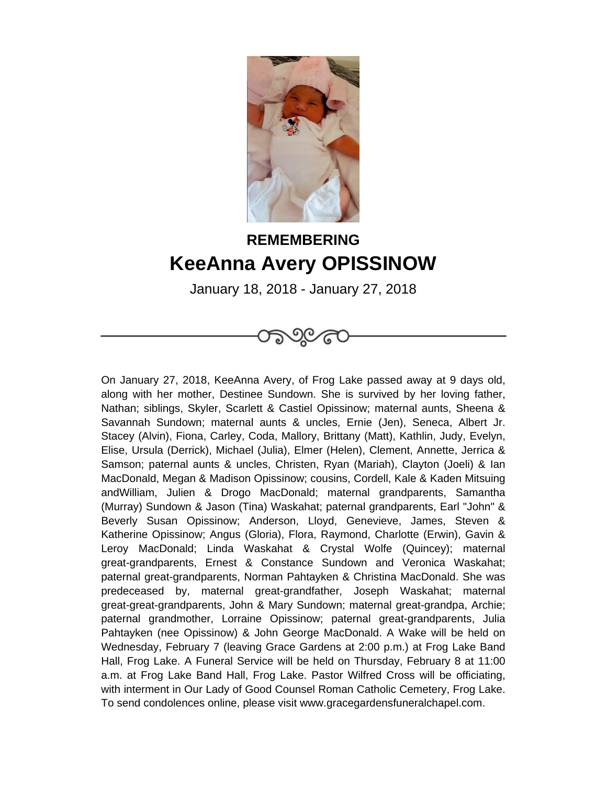

## **REMEMBERING KeeAnna Avery OPISSINOW**

January 18, 2018 - January 27, 2018



On January 27, 2018, KeeAnna Avery, of Frog Lake passed away at 9 days old, along with her mother, Destinee Sundown. She is survived by her loving father, Nathan; siblings, Skyler, Scarlett & Castiel Opissinow; maternal aunts, Sheena & Savannah Sundown; maternal aunts & uncles, Ernie (Jen), Seneca, Albert Jr. Stacey (Alvin), Fiona, Carley, Coda, Mallory, Brittany (Matt), Kathlin, Judy, Evelyn, Elise, Ursula (Derrick), Michael (Julia), Elmer (Helen), Clement, Annette, Jerrica & Samson; paternal aunts & uncles, Christen, Ryan (Mariah), Clayton (Joeli) & Ian MacDonald, Megan & Madison Opissinow; cousins, Cordell, Kale & Kaden Mitsuing andWilliam, Julien & Drogo MacDonald; maternal grandparents, Samantha (Murray) Sundown & Jason (Tina) Waskahat; paternal grandparents, Earl "John" & Beverly Susan Opissinow; Anderson, Lloyd, Genevieve, James, Steven & Katherine Opissinow; Angus (Gloria), Flora, Raymond, Charlotte (Erwin), Gavin & Leroy MacDonald; Linda Waskahat & Crystal Wolfe (Quincey); maternal great-grandparents, Ernest & Constance Sundown and Veronica Waskahat; paternal great-grandparents, Norman Pahtayken & Christina MacDonald. She was predeceased by, maternal great-grandfather, Joseph Waskahat; maternal great-great-grandparents, John & Mary Sundown; maternal great-grandpa, Archie; paternal grandmother, Lorraine Opissinow; paternal great-grandparents, Julia Pahtayken (nee Opissinow) & John George MacDonald. A Wake will be held on Wednesday, February 7 (leaving Grace Gardens at 2:00 p.m.) at Frog Lake Band Hall, Frog Lake. A Funeral Service will be held on Thursday, February 8 at 11:00 a.m. at Frog Lake Band Hall, Frog Lake. Pastor Wilfred Cross will be officiating, with interment in Our Lady of Good Counsel Roman Catholic Cemetery, Frog Lake. To send condolences online, please visit www.gracegardensfuneralchapel.com.